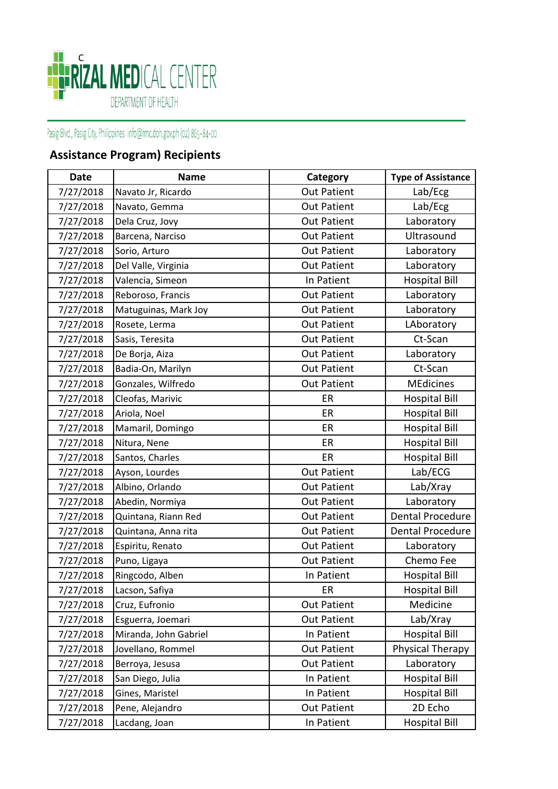

## Pasig Blvd., Pasig City, Philippines info@rmc.doh.gov.ph (02) 865-84-00

## **Assistance Program) Recipients**

| <b>Date</b> | <b>Name</b>           | Category           | <b>Type of Assistance</b> |
|-------------|-----------------------|--------------------|---------------------------|
| 7/27/2018   | Navato Jr, Ricardo    | <b>Out Patient</b> | Lab/Ecg                   |
| 7/27/2018   | Navato, Gemma         | <b>Out Patient</b> | Lab/Ecg                   |
| 7/27/2018   | Dela Cruz, Jovy       | <b>Out Patient</b> | Laboratory                |
| 7/27/2018   | Barcena, Narciso      | <b>Out Patient</b> | Ultrasound                |
| 7/27/2018   | Sorio, Arturo         | <b>Out Patient</b> | Laboratory                |
| 7/27/2018   | Del Valle, Virginia   | <b>Out Patient</b> | Laboratory                |
| 7/27/2018   | Valencia, Simeon      | In Patient         | <b>Hospital Bill</b>      |
| 7/27/2018   | Reboroso, Francis     | <b>Out Patient</b> | Laboratory                |
| 7/27/2018   | Matuguinas, Mark Joy  | <b>Out Patient</b> | Laboratory                |
| 7/27/2018   | Rosete, Lerma         | <b>Out Patient</b> | LAboratory                |
| 7/27/2018   | Sasis, Teresita       | <b>Out Patient</b> | Ct-Scan                   |
| 7/27/2018   | De Borja, Aiza        | <b>Out Patient</b> | Laboratory                |
| 7/27/2018   | Badia-On, Marilyn     | <b>Out Patient</b> | Ct-Scan                   |
| 7/27/2018   | Gonzales, Wilfredo    | <b>Out Patient</b> | <b>MEdicines</b>          |
| 7/27/2018   | Cleofas, Marivic      | ER                 | <b>Hospital Bill</b>      |
| 7/27/2018   | Ariola, Noel          | ER                 | <b>Hospital Bill</b>      |
| 7/27/2018   | Mamaril, Domingo      | ER                 | <b>Hospital Bill</b>      |
| 7/27/2018   | Nitura, Nene          | ER                 | <b>Hospital Bill</b>      |
| 7/27/2018   | Santos, Charles       | ER                 | <b>Hospital Bill</b>      |
| 7/27/2018   | Ayson, Lourdes        | <b>Out Patient</b> | Lab/ECG                   |
| 7/27/2018   | Albino, Orlando       | <b>Out Patient</b> | Lab/Xray                  |
| 7/27/2018   | Abedin, Normiya       | <b>Out Patient</b> | Laboratory                |
| 7/27/2018   | Quintana, Riann Red   | <b>Out Patient</b> | Dental Procedure          |
| 7/27/2018   | Quintana, Anna rita   | <b>Out Patient</b> | Dental Procedure          |
| 7/27/2018   | Espiritu, Renato      | <b>Out Patient</b> | Laboratory                |
| 7/27/2018   | Puno, Ligaya          | <b>Out Patient</b> | Chemo Fee                 |
| 7/27/2018   | Ringcodo, Alben       | In Patient         | <b>Hospital Bill</b>      |
| 7/27/2018   | Lacson, Safiya        | ER                 | <b>Hospital Bill</b>      |
| 7/27/2018   | Cruz, Eufronio        | <b>Out Patient</b> | Medicine                  |
| 7/27/2018   | Esguerra, Joemari     | <b>Out Patient</b> | Lab/Xray                  |
| 7/27/2018   | Miranda, John Gabriel | In Patient         | <b>Hospital Bill</b>      |
| 7/27/2018   | Jovellano, Rommel     | <b>Out Patient</b> | Physical Therapy          |
| 7/27/2018   | Berroya, Jesusa       | <b>Out Patient</b> | Laboratory                |
| 7/27/2018   | San Diego, Julia      | In Patient         | <b>Hospital Bill</b>      |
| 7/27/2018   | Gines, Maristel       | In Patient         | <b>Hospital Bill</b>      |
| 7/27/2018   | Pene, Alejandro       | <b>Out Patient</b> | 2D Echo                   |
| 7/27/2018   | Lacdang, Joan         | In Patient         | <b>Hospital Bill</b>      |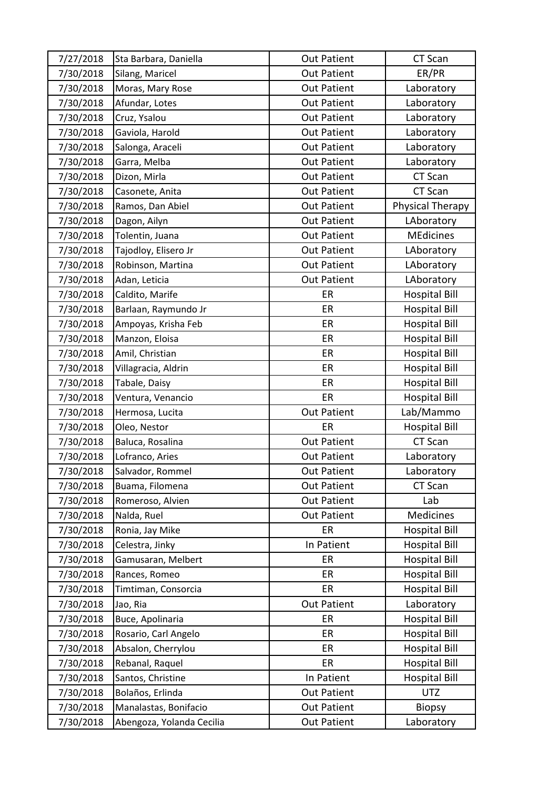| 7/27/2018 | Sta Barbara, Daniella     | <b>Out Patient</b> | CT Scan              |
|-----------|---------------------------|--------------------|----------------------|
| 7/30/2018 | Silang, Maricel           | <b>Out Patient</b> | ER/PR                |
| 7/30/2018 | Moras, Mary Rose          | <b>Out Patient</b> | Laboratory           |
| 7/30/2018 | Afundar, Lotes            | <b>Out Patient</b> | Laboratory           |
| 7/30/2018 | Cruz, Ysalou              | <b>Out Patient</b> | Laboratory           |
| 7/30/2018 | Gaviola, Harold           | <b>Out Patient</b> | Laboratory           |
| 7/30/2018 | Salonga, Araceli          | <b>Out Patient</b> | Laboratory           |
| 7/30/2018 | Garra, Melba              | <b>Out Patient</b> | Laboratory           |
| 7/30/2018 | Dizon, Mirla              | <b>Out Patient</b> | CT Scan              |
| 7/30/2018 | Casonete, Anita           | <b>Out Patient</b> | CT Scan              |
| 7/30/2018 | Ramos, Dan Abiel          | <b>Out Patient</b> | Physical Therapy     |
| 7/30/2018 | Dagon, Ailyn              | <b>Out Patient</b> | LAboratory           |
| 7/30/2018 | Tolentin, Juana           | <b>Out Patient</b> | <b>MEdicines</b>     |
| 7/30/2018 | Tajodloy, Elisero Jr      | <b>Out Patient</b> | LAboratory           |
| 7/30/2018 | Robinson, Martina         | <b>Out Patient</b> | LAboratory           |
| 7/30/2018 | Adan, Leticia             | <b>Out Patient</b> | LAboratory           |
| 7/30/2018 | Caldito, Marife           | ER                 | <b>Hospital Bill</b> |
| 7/30/2018 | Barlaan, Raymundo Jr      | ER                 | <b>Hospital Bill</b> |
| 7/30/2018 | Ampoyas, Krisha Feb       | ER                 | <b>Hospital Bill</b> |
| 7/30/2018 | Manzon, Eloisa            | ER                 | <b>Hospital Bill</b> |
| 7/30/2018 | Amil, Christian           | ER                 | <b>Hospital Bill</b> |
| 7/30/2018 | Villagracia, Aldrin       | ER                 | <b>Hospital Bill</b> |
| 7/30/2018 | Tabale, Daisy             | ER                 | <b>Hospital Bill</b> |
| 7/30/2018 | Ventura, Venancio         | ER                 | <b>Hospital Bill</b> |
| 7/30/2018 | Hermosa, Lucita           | <b>Out Patient</b> | Lab/Mammo            |
| 7/30/2018 | Oleo, Nestor              | ER                 | <b>Hospital Bill</b> |
| 7/30/2018 | Baluca, Rosalina          | <b>Out Patient</b> | CT Scan              |
| 7/30/2018 | Lofranco, Aries           | <b>Out Patient</b> | Laboratory           |
| 7/30/2018 | Salvador, Rommel          | <b>Out Patient</b> | Laboratory           |
| 7/30/2018 | Buama, Filomena           | <b>Out Patient</b> | CT Scan              |
| 7/30/2018 | Romeroso, Alvien          | <b>Out Patient</b> | Lab                  |
| 7/30/2018 | Nalda, Ruel               | <b>Out Patient</b> | Medicines            |
| 7/30/2018 | Ronia, Jay Mike           | ER                 | <b>Hospital Bill</b> |
| 7/30/2018 | Celestra, Jinky           | In Patient         | <b>Hospital Bill</b> |
| 7/30/2018 | Gamusaran, Melbert        | ER                 | <b>Hospital Bill</b> |
| 7/30/2018 | Rances, Romeo             | ER                 | <b>Hospital Bill</b> |
| 7/30/2018 | Timtiman, Consorcia       | ER                 | <b>Hospital Bill</b> |
| 7/30/2018 | Jao, Ria                  | <b>Out Patient</b> | Laboratory           |
| 7/30/2018 | Buce, Apolinaria          | ER                 | <b>Hospital Bill</b> |
| 7/30/2018 | Rosario, Carl Angelo      | ER                 | <b>Hospital Bill</b> |
| 7/30/2018 | Absalon, Cherrylou        | ER                 | <b>Hospital Bill</b> |
| 7/30/2018 | Rebanal, Raquel           | ER                 | <b>Hospital Bill</b> |
| 7/30/2018 | Santos, Christine         | In Patient         | <b>Hospital Bill</b> |
| 7/30/2018 | Bolaños, Erlinda          | <b>Out Patient</b> | <b>UTZ</b>           |
| 7/30/2018 | Manalastas, Bonifacio     | <b>Out Patient</b> | <b>Biopsy</b>        |
| 7/30/2018 | Abengoza, Yolanda Cecilia | <b>Out Patient</b> | Laboratory           |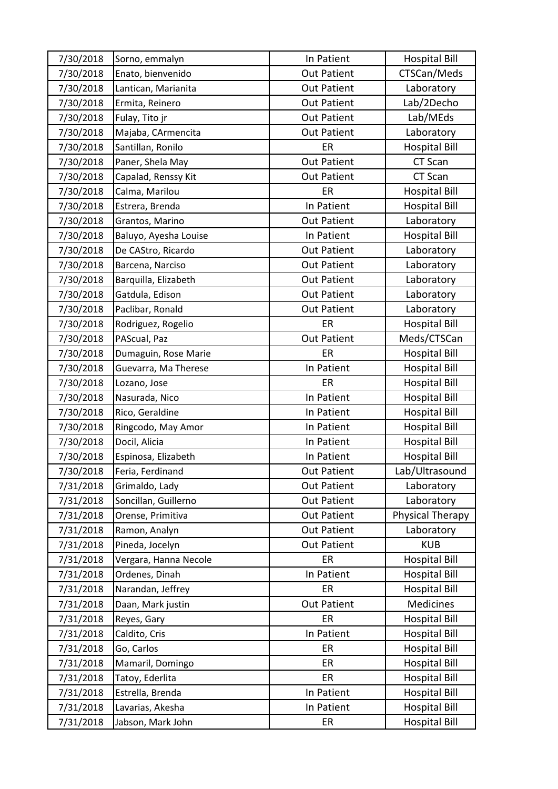| 7/30/2018 | Sorno, emmalyn        | In Patient         | <b>Hospital Bill</b> |
|-----------|-----------------------|--------------------|----------------------|
| 7/30/2018 | Enato, bienvenido     | <b>Out Patient</b> | CTSCan/Meds          |
| 7/30/2018 | Lantican, Marianita   | <b>Out Patient</b> | Laboratory           |
| 7/30/2018 | Ermita, Reinero       | <b>Out Patient</b> | Lab/2Decho           |
| 7/30/2018 | Fulay, Tito jr        | <b>Out Patient</b> | Lab/MEds             |
| 7/30/2018 | Majaba, CArmencita    | <b>Out Patient</b> | Laboratory           |
| 7/30/2018 | Santillan, Ronilo     | ER                 | <b>Hospital Bill</b> |
| 7/30/2018 | Paner, Shela May      | <b>Out Patient</b> | CT Scan              |
| 7/30/2018 | Capalad, Renssy Kit   | <b>Out Patient</b> | CT Scan              |
| 7/30/2018 | Calma, Marilou        | ER                 | <b>Hospital Bill</b> |
| 7/30/2018 | Estrera, Brenda       | In Patient         | <b>Hospital Bill</b> |
| 7/30/2018 | Grantos, Marino       | <b>Out Patient</b> | Laboratory           |
| 7/30/2018 | Baluyo, Ayesha Louise | In Patient         | <b>Hospital Bill</b> |
| 7/30/2018 | De CAStro, Ricardo    | <b>Out Patient</b> | Laboratory           |
| 7/30/2018 | Barcena, Narciso      | <b>Out Patient</b> | Laboratory           |
| 7/30/2018 | Barquilla, Elizabeth  | <b>Out Patient</b> | Laboratory           |
| 7/30/2018 | Gatdula, Edison       | <b>Out Patient</b> | Laboratory           |
| 7/30/2018 | Paclibar, Ronald      | <b>Out Patient</b> | Laboratory           |
| 7/30/2018 | Rodriguez, Rogelio    | ER                 | <b>Hospital Bill</b> |
| 7/30/2018 | PAScual, Paz          | <b>Out Patient</b> | Meds/CTSCan          |
| 7/30/2018 | Dumaguin, Rose Marie  | ER                 | <b>Hospital Bill</b> |
| 7/30/2018 | Guevarra, Ma Therese  | In Patient         | <b>Hospital Bill</b> |
| 7/30/2018 | Lozano, Jose          | ER                 | <b>Hospital Bill</b> |
| 7/30/2018 | Nasurada, Nico        | In Patient         | <b>Hospital Bill</b> |
| 7/30/2018 | Rico, Geraldine       | In Patient         | <b>Hospital Bill</b> |
| 7/30/2018 | Ringcodo, May Amor    | In Patient         | <b>Hospital Bill</b> |
| 7/30/2018 | Docil, Alicia         | In Patient         | <b>Hospital Bill</b> |
| 7/30/2018 | Espinosa, Elizabeth   | In Patient         | <b>Hospital Bill</b> |
| 7/30/2018 | Feria, Ferdinand      | <b>Out Patient</b> | Lab/Ultrasound       |
| 7/31/2018 | Grimaldo, Lady        | <b>Out Patient</b> | Laboratory           |
| 7/31/2018 | Soncillan, Guillerno  | <b>Out Patient</b> | Laboratory           |
| 7/31/2018 | Orense, Primitiva     | <b>Out Patient</b> | Physical Therapy     |
| 7/31/2018 | Ramon, Analyn         | <b>Out Patient</b> | Laboratory           |
| 7/31/2018 | Pineda, Jocelyn       | <b>Out Patient</b> | <b>KUB</b>           |
| 7/31/2018 | Vergara, Hanna Necole | ER                 | <b>Hospital Bill</b> |
| 7/31/2018 | Ordenes, Dinah        | In Patient         | <b>Hospital Bill</b> |
| 7/31/2018 | Narandan, Jeffrey     | ER                 | <b>Hospital Bill</b> |
| 7/31/2018 | Daan, Mark justin     | <b>Out Patient</b> | Medicines            |
| 7/31/2018 | Reyes, Gary           | ER                 | <b>Hospital Bill</b> |
| 7/31/2018 | Caldito, Cris         | In Patient         | <b>Hospital Bill</b> |
| 7/31/2018 | Go, Carlos            | ER                 | <b>Hospital Bill</b> |
| 7/31/2018 | Mamaril, Domingo      | ER.                | <b>Hospital Bill</b> |
| 7/31/2018 | Tatoy, Ederlita       | ER                 | <b>Hospital Bill</b> |
| 7/31/2018 | Estrella, Brenda      | In Patient         | <b>Hospital Bill</b> |
| 7/31/2018 | Lavarias, Akesha      | In Patient         | <b>Hospital Bill</b> |
| 7/31/2018 | Jabson, Mark John     | ER                 | <b>Hospital Bill</b> |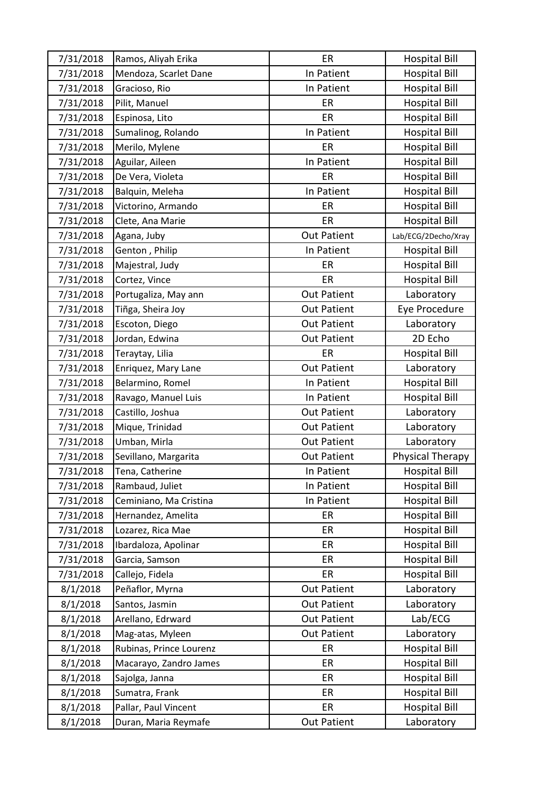| 7/31/2018 | Ramos, Aliyah Erika     | ER                 | <b>Hospital Bill</b> |
|-----------|-------------------------|--------------------|----------------------|
| 7/31/2018 | Mendoza, Scarlet Dane   | In Patient         | <b>Hospital Bill</b> |
| 7/31/2018 | Gracioso, Rio           | In Patient         | <b>Hospital Bill</b> |
| 7/31/2018 | Pilit, Manuel           | ER                 | <b>Hospital Bill</b> |
| 7/31/2018 | Espinosa, Lito          | ER                 | <b>Hospital Bill</b> |
| 7/31/2018 | Sumalinog, Rolando      | In Patient         | <b>Hospital Bill</b> |
| 7/31/2018 | Merilo, Mylene          | ER                 | <b>Hospital Bill</b> |
| 7/31/2018 | Aguilar, Aileen         | In Patient         | <b>Hospital Bill</b> |
| 7/31/2018 | De Vera, Violeta        | ER                 | <b>Hospital Bill</b> |
| 7/31/2018 | Balquin, Meleha         | In Patient         | <b>Hospital Bill</b> |
| 7/31/2018 | Victorino, Armando      | ER                 | <b>Hospital Bill</b> |
| 7/31/2018 | Clete, Ana Marie        | ER                 | <b>Hospital Bill</b> |
| 7/31/2018 | Agana, Juby             | <b>Out Patient</b> | Lab/ECG/2Decho/Xray  |
| 7/31/2018 | Genton, Philip          | In Patient         | <b>Hospital Bill</b> |
| 7/31/2018 | Majestral, Judy         | ER                 | <b>Hospital Bill</b> |
| 7/31/2018 | Cortez, Vince           | ER                 | <b>Hospital Bill</b> |
| 7/31/2018 | Portugaliza, May ann    | <b>Out Patient</b> | Laboratory           |
| 7/31/2018 | Tiñga, Sheira Joy       | <b>Out Patient</b> | Eye Procedure        |
| 7/31/2018 | Escoton, Diego          | <b>Out Patient</b> | Laboratory           |
| 7/31/2018 | Jordan, Edwina          | <b>Out Patient</b> | 2D Echo              |
| 7/31/2018 | Teraytay, Lilia         | ER                 | <b>Hospital Bill</b> |
| 7/31/2018 | Enriquez, Mary Lane     | <b>Out Patient</b> | Laboratory           |
| 7/31/2018 | Belarmino, Romel        | In Patient         | <b>Hospital Bill</b> |
| 7/31/2018 | Ravago, Manuel Luis     | In Patient         | <b>Hospital Bill</b> |
| 7/31/2018 | Castillo, Joshua        | <b>Out Patient</b> | Laboratory           |
| 7/31/2018 | Mique, Trinidad         | <b>Out Patient</b> | Laboratory           |
| 7/31/2018 | Umban, Mirla            | <b>Out Patient</b> | Laboratory           |
| 7/31/2018 | Sevillano, Margarita    | <b>Out Patient</b> | Physical Therapy     |
| 7/31/2018 | Tena, Catherine         | In Patient         | <b>Hospital Bill</b> |
| 7/31/2018 | Rambaud, Juliet         | In Patient         | <b>Hospital Bill</b> |
| 7/31/2018 | Ceminiano, Ma Cristina  | In Patient         | <b>Hospital Bill</b> |
| 7/31/2018 | Hernandez, Amelita      | ER                 | <b>Hospital Bill</b> |
| 7/31/2018 | Lozarez, Rica Mae       | ER                 | <b>Hospital Bill</b> |
| 7/31/2018 | Ibardaloza, Apolinar    | ER                 | <b>Hospital Bill</b> |
| 7/31/2018 | Garcia, Samson          | ER                 | <b>Hospital Bill</b> |
| 7/31/2018 | Callejo, Fidela         | ER                 | <b>Hospital Bill</b> |
| 8/1/2018  | Peñaflor, Myrna         | <b>Out Patient</b> | Laboratory           |
| 8/1/2018  | Santos, Jasmin          | <b>Out Patient</b> | Laboratory           |
| 8/1/2018  | Arellano, Edrward       | <b>Out Patient</b> | Lab/ECG              |
| 8/1/2018  | Mag-atas, Myleen        | <b>Out Patient</b> | Laboratory           |
| 8/1/2018  | Rubinas, Prince Lourenz | ER                 | <b>Hospital Bill</b> |
| 8/1/2018  | Macarayo, Zandro James  | ER                 | <b>Hospital Bill</b> |
| 8/1/2018  | Sajolga, Janna          | ER                 | <b>Hospital Bill</b> |
| 8/1/2018  | Sumatra, Frank          | ER                 | <b>Hospital Bill</b> |
| 8/1/2018  | Pallar, Paul Vincent    | <b>ER</b>          | <b>Hospital Bill</b> |
| 8/1/2018  | Duran, Maria Reymafe    | <b>Out Patient</b> | Laboratory           |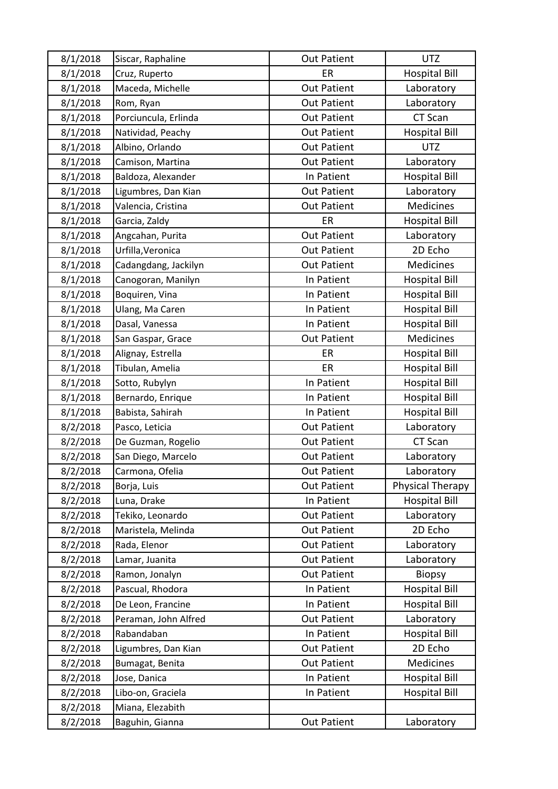| 8/1/2018 | Siscar, Raphaline    | <b>Out Patient</b> | <b>UTZ</b>           |
|----------|----------------------|--------------------|----------------------|
| 8/1/2018 | Cruz, Ruperto        | ER                 | <b>Hospital Bill</b> |
| 8/1/2018 | Maceda, Michelle     | <b>Out Patient</b> | Laboratory           |
| 8/1/2018 | Rom, Ryan            | <b>Out Patient</b> | Laboratory           |
| 8/1/2018 | Porciuncula, Erlinda | <b>Out Patient</b> | CT Scan              |
| 8/1/2018 | Natividad, Peachy    | <b>Out Patient</b> | <b>Hospital Bill</b> |
| 8/1/2018 | Albino, Orlando      | <b>Out Patient</b> | <b>UTZ</b>           |
| 8/1/2018 | Camison, Martina     | <b>Out Patient</b> | Laboratory           |
| 8/1/2018 | Baldoza, Alexander   | In Patient         | <b>Hospital Bill</b> |
| 8/1/2018 | Ligumbres, Dan Kian  | <b>Out Patient</b> | Laboratory           |
| 8/1/2018 | Valencia, Cristina   | <b>Out Patient</b> | <b>Medicines</b>     |
| 8/1/2018 | Garcia, Zaldy        | ER.                | <b>Hospital Bill</b> |
| 8/1/2018 | Angcahan, Purita     | <b>Out Patient</b> | Laboratory           |
| 8/1/2018 | Urfilla, Veronica    | <b>Out Patient</b> | 2D Echo              |
| 8/1/2018 | Cadangdang, Jackilyn | <b>Out Patient</b> | Medicines            |
| 8/1/2018 | Canogoran, Manilyn   | In Patient         | <b>Hospital Bill</b> |
| 8/1/2018 | Boquiren, Vina       | In Patient         | <b>Hospital Bill</b> |
| 8/1/2018 | Ulang, Ma Caren      | In Patient         | <b>Hospital Bill</b> |
| 8/1/2018 | Dasal, Vanessa       | In Patient         | <b>Hospital Bill</b> |
| 8/1/2018 | San Gaspar, Grace    | <b>Out Patient</b> | Medicines            |
| 8/1/2018 | Alignay, Estrella    | ER                 | <b>Hospital Bill</b> |
| 8/1/2018 | Tibulan, Amelia      | ER                 | <b>Hospital Bill</b> |
| 8/1/2018 | Sotto, Rubylyn       | In Patient         | <b>Hospital Bill</b> |
| 8/1/2018 | Bernardo, Enrique    | In Patient         | <b>Hospital Bill</b> |
| 8/1/2018 | Babista, Sahirah     | In Patient         | <b>Hospital Bill</b> |
| 8/2/2018 | Pasco, Leticia       | <b>Out Patient</b> | Laboratory           |
| 8/2/2018 | De Guzman, Rogelio   | <b>Out Patient</b> | CT Scan              |
| 8/2/2018 | San Diego, Marcelo   | <b>Out Patient</b> | Laboratory           |
| 8/2/2018 | Carmona, Ofelia      | <b>Out Patient</b> | Laboratory           |
| 8/2/2018 | Borja, Luis          | <b>Out Patient</b> | Physical Therapy     |
| 8/2/2018 | Luna, Drake          | In Patient         | <b>Hospital Bill</b> |
| 8/2/2018 | Tekiko, Leonardo     | <b>Out Patient</b> | Laboratory           |
| 8/2/2018 | Maristela, Melinda   | <b>Out Patient</b> | 2D Echo              |
| 8/2/2018 | Rada, Elenor         | <b>Out Patient</b> | Laboratory           |
| 8/2/2018 | Lamar, Juanita       | <b>Out Patient</b> | Laboratory           |
| 8/2/2018 | Ramon, Jonalyn       | <b>Out Patient</b> | <b>Biopsy</b>        |
| 8/2/2018 | Pascual, Rhodora     | In Patient         | <b>Hospital Bill</b> |
| 8/2/2018 | De Leon, Francine    | In Patient         | <b>Hospital Bill</b> |
| 8/2/2018 | Peraman, John Alfred | <b>Out Patient</b> | Laboratory           |
| 8/2/2018 | Rabandaban           | In Patient         | <b>Hospital Bill</b> |
| 8/2/2018 | Ligumbres, Dan Kian  | <b>Out Patient</b> | 2D Echo              |
| 8/2/2018 | Bumagat, Benita      | <b>Out Patient</b> | Medicines            |
| 8/2/2018 | Jose, Danica         | In Patient         | <b>Hospital Bill</b> |
| 8/2/2018 | Libo-on, Graciela    | In Patient         | <b>Hospital Bill</b> |
| 8/2/2018 | Miana, Elezabith     |                    |                      |
| 8/2/2018 | Baguhin, Gianna      | <b>Out Patient</b> | Laboratory           |